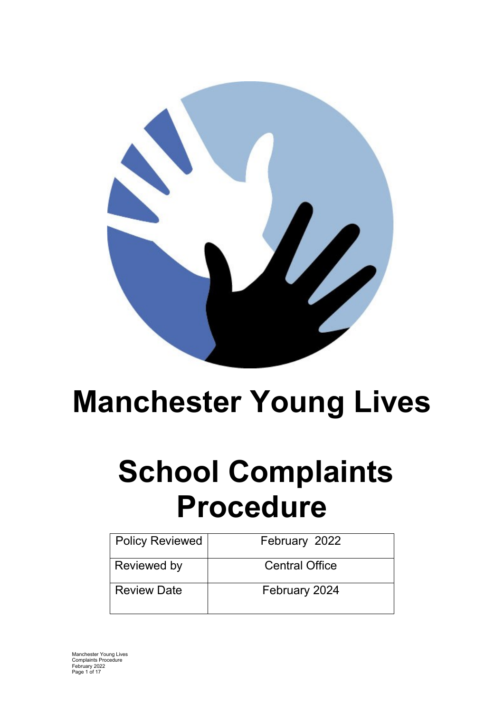

# **Manchester Young Lives**

# **School Complaints Procedure**

| <b>Policy Reviewed</b> | February 2022         |
|------------------------|-----------------------|
| Reviewed by            | <b>Central Office</b> |
| <b>Review Date</b>     | February 2024         |

Manchester Young Lives Complaints Procedure February 2022 Page 1 of 17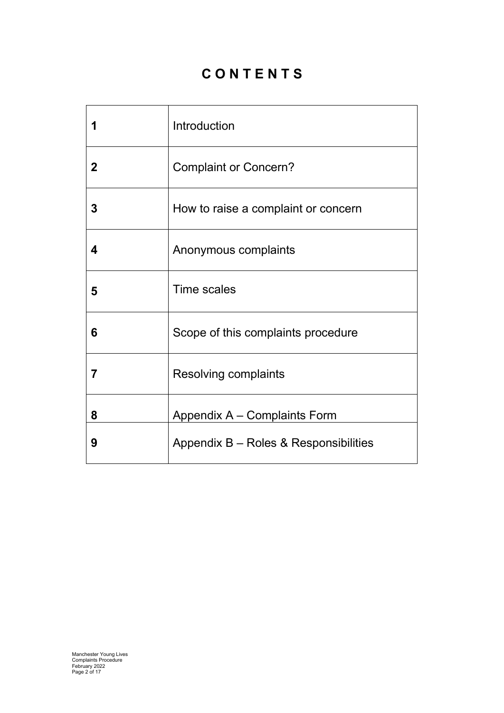# **C O N T E N T S**

|             | Introduction                          |
|-------------|---------------------------------------|
| $\mathbf 2$ | <b>Complaint or Concern?</b>          |
| 3           | How to raise a complaint or concern   |
| 4           | Anonymous complaints                  |
| 5           | <b>Time scales</b>                    |
| 6           | Scope of this complaints procedure    |
| 7           | <b>Resolving complaints</b>           |
| 8           | Appendix A – Complaints Form          |
| 9           | Appendix B - Roles & Responsibilities |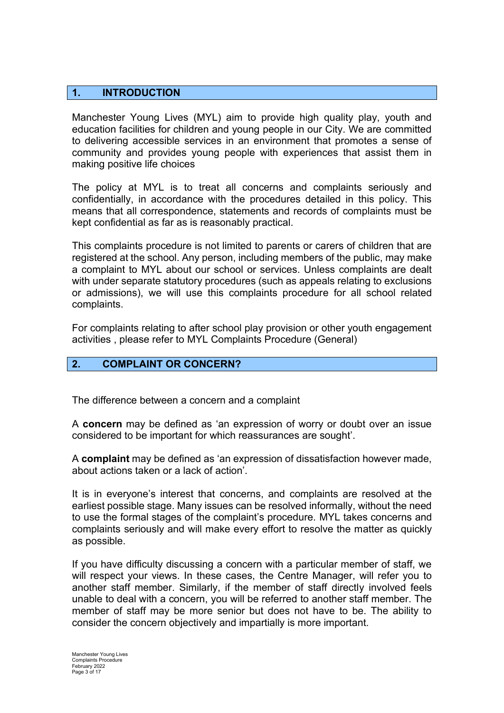#### **1. INTRODUCTION**

Manchester Young Lives (MYL) aim to provide high quality play, youth and education facilities for children and young people in our City. We are committed to delivering accessible services in an environment that promotes a sense of community and provides young people with experiences that assist them in making positive life choices

The policy at MYL is to treat all concerns and complaints seriously and confidentially, in accordance with the procedures detailed in this policy. This means that all correspondence, statements and records of complaints must be kept confidential as far as is reasonably practical.

This complaints procedure is not limited to parents or carers of children that are registered at the school. Any person, including members of the public, may make a complaint to MYL about our school or services. Unless complaints are dealt with under separate statutory procedures (such as appeals relating to exclusions or admissions), we will use this complaints procedure for all school related complaints.

For complaints relating to after school play provision or other youth engagement activities , please refer to MYL Complaints Procedure (General)

#### **2. COMPLAINT OR CONCERN?**

The difference between a concern and a complaint

A **concern** may be defined as 'an expression of worry or doubt over an issue considered to be important for which reassurances are sought'.

A **complaint** may be defined as 'an expression of dissatisfaction however made, about actions taken or a lack of action'.

It is in everyone's interest that concerns, and complaints are resolved at the earliest possible stage. Many issues can be resolved informally, without the need to use the formal stages of the complaint's procedure. MYL takes concerns and complaints seriously and will make every effort to resolve the matter as quickly as possible.

If you have difficulty discussing a concern with a particular member of staff, we will respect your views. In these cases, the Centre Manager, will refer you to another staff member. Similarly, if the member of staff directly involved feels unable to deal with a concern, you will be referred to another staff member. The member of staff may be more senior but does not have to be. The ability to consider the concern objectively and impartially is more important.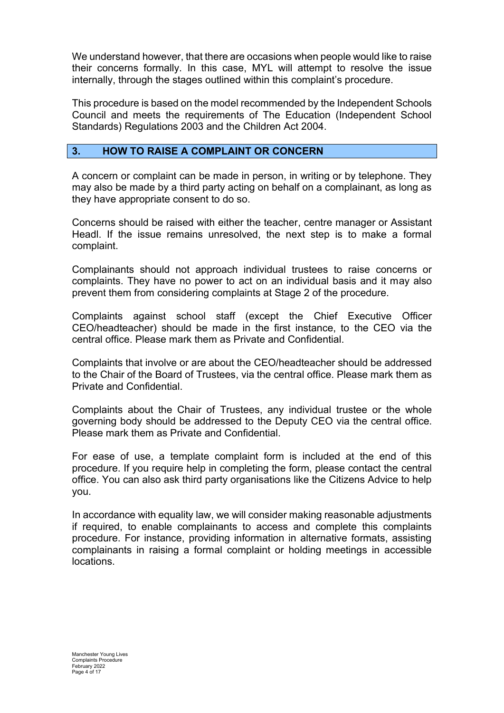We understand however, that there are occasions when people would like to raise their concerns formally. In this case, MYL will attempt to resolve the issue internally, through the stages outlined within this complaint's procedure.

This procedure is based on the model recommended by the Independent Schools Council and meets the requirements of The Education (Independent School Standards) Regulations 2003 and the Children Act 2004.

#### **3. HOW TO RAISE A COMPLAINT OR CONCERN**

A concern or complaint can be made in person, in writing or by telephone. They may also be made by a third party acting on behalf on a complainant, as long as they have appropriate consent to do so.

Concerns should be raised with either the teacher, centre manager or Assistant Headl. If the issue remains unresolved, the next step is to make a formal complaint.

Complainants should not approach individual trustees to raise concerns or complaints. They have no power to act on an individual basis and it may also prevent them from considering complaints at Stage 2 of the procedure.

Complaints against school staff (except the Chief Executive Officer CEO/headteacher) should be made in the first instance, to the CEO via the central office. Please mark them as Private and Confidential.

Complaints that involve or are about the CEO/headteacher should be addressed to the Chair of the Board of Trustees, via the central office. Please mark them as Private and Confidential.

Complaints about the Chair of Trustees, any individual trustee or the whole governing body should be addressed to the Deputy CEO via the central office. Please mark them as Private and Confidential.

For ease of use, a template complaint form is included at the end of this procedure. If you require help in completing the form, please contact the central office. You can also ask third party organisations like the Citizens Advice to help you.

In accordance with equality law, we will consider making reasonable adjustments if required, to enable complainants to access and complete this complaints procedure. For instance, providing information in alternative formats, assisting complainants in raising a formal complaint or holding meetings in accessible locations.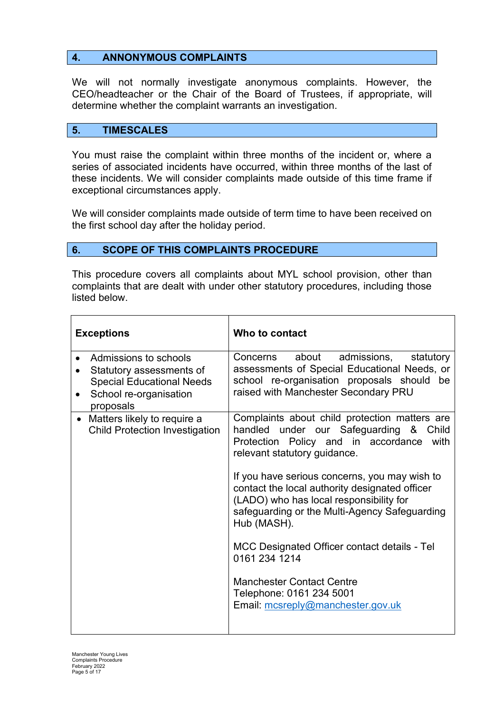#### **4. ANNONYMOUS COMPLAINTS**

We will not normally investigate anonymous complaints. However, the CEO/headteacher or the Chair of the Board of Trustees, if appropriate, will determine whether the complaint warrants an investigation.

#### **5. TIMESCALES**

You must raise the complaint within three months of the incident or, where a series of associated incidents have occurred, within three months of the last of these incidents. We will consider complaints made outside of this time frame if exceptional circumstances apply.

We will consider complaints made outside of term time to have been received on the first school day after the holiday period.

#### **6. SCOPE OF THIS COMPLAINTS PROCEDURE**

This procedure covers all complaints about MYL school provision, other than complaints that are dealt with under other statutory procedures, including those listed below.

| <b>Exceptions</b>                                                                                                            | Who to contact                                                                                                                                                                                                                                                                                                                                                                                                                                                                                                                                                |
|------------------------------------------------------------------------------------------------------------------------------|---------------------------------------------------------------------------------------------------------------------------------------------------------------------------------------------------------------------------------------------------------------------------------------------------------------------------------------------------------------------------------------------------------------------------------------------------------------------------------------------------------------------------------------------------------------|
| Admissions to schools<br>Statutory assessments of<br><b>Special Educational Needs</b><br>School re-organisation<br>proposals | about<br>admissions,<br>Concerns<br>statutory<br>assessments of Special Educational Needs, or<br>school re-organisation proposals should<br>be<br>raised with Manchester Secondary PRU                                                                                                                                                                                                                                                                                                                                                                        |
| Matters likely to require a<br><b>Child Protection Investigation</b>                                                         | Complaints about child protection matters are<br>handled under our Safeguarding &<br>Child<br>Protection Policy and in accordance<br>with<br>relevant statutory guidance.<br>If you have serious concerns, you may wish to<br>contact the local authority designated officer<br>(LADO) who has local responsibility for<br>safeguarding or the Multi-Agency Safeguarding<br>Hub (MASH).<br>MCC Designated Officer contact details - Tel<br>0161 234 1214<br><b>Manchester Contact Centre</b><br>Telephone: 0161 234 5001<br>Email: mcsreply@manchester.gov.uk |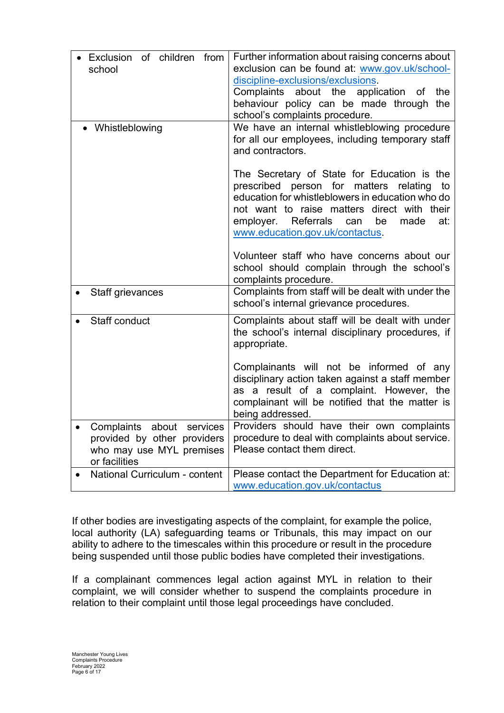| of children<br>from<br>Exclusion<br>school                                                            | Further information about raising concerns about<br>exclusion can be found at: www.gov.uk/school-<br>discipline-exclusions/exclusions.<br>Complaints about the<br>application of<br>the<br>behaviour policy can be made through the<br>school's complaints procedure.                             |
|-------------------------------------------------------------------------------------------------------|---------------------------------------------------------------------------------------------------------------------------------------------------------------------------------------------------------------------------------------------------------------------------------------------------|
| Whistleblowing                                                                                        | We have an internal whistleblowing procedure<br>for all our employees, including temporary staff<br>and contractors.                                                                                                                                                                              |
|                                                                                                       | The Secretary of State for Education is the<br>prescribed person for matters<br>relating<br>to<br>education for whistleblowers in education who do<br>not want to raise matters direct with their<br>employer.<br><b>Referrals</b><br>can<br>be<br>made<br>at:<br>www.education.gov.uk/contactus. |
|                                                                                                       | Volunteer staff who have concerns about our<br>school should complain through the school's<br>complaints procedure.                                                                                                                                                                               |
| Staff grievances                                                                                      | Complaints from staff will be dealt with under the<br>school's internal grievance procedures.                                                                                                                                                                                                     |
| Staff conduct                                                                                         | Complaints about staff will be dealt with under<br>the school's internal disciplinary procedures, if<br>appropriate.                                                                                                                                                                              |
|                                                                                                       | Complainants will not be informed of any<br>disciplinary action taken against a staff member<br>as a result of a complaint. However, the<br>complainant will be notified that the matter is<br>being addressed.                                                                                   |
| Complaints about services<br>provided by other providers<br>who may use MYL premises<br>or facilities | Providers should have their own complaints<br>procedure to deal with complaints about service.<br>Please contact them direct.                                                                                                                                                                     |
| National Curriculum - content                                                                         | Please contact the Department for Education at:<br>www.education.gov.uk/contactus                                                                                                                                                                                                                 |

If other bodies are investigating aspects of the complaint, for example the police, local authority (LA) safeguarding teams or Tribunals, this may impact on our ability to adhere to the timescales within this procedure or result in the procedure being suspended until those public bodies have completed their investigations.

If a complainant commences legal action against MYL in relation to their complaint, we will consider whether to suspend the complaints procedure in relation to their complaint until those legal proceedings have concluded.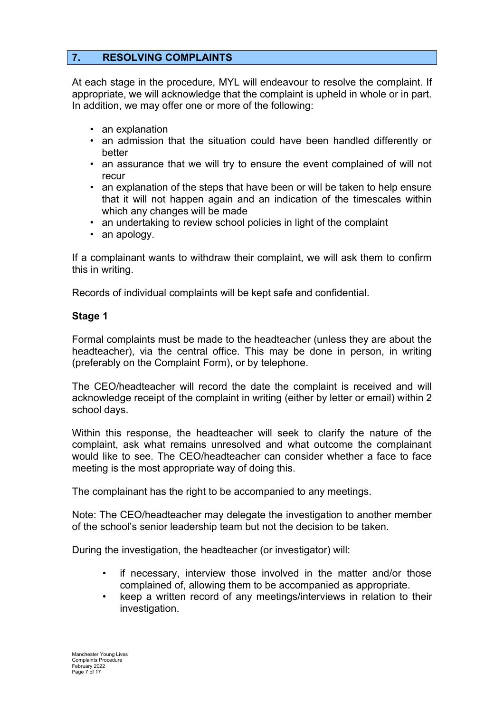# **7. RESOLVING COMPLAINTS**

At each stage in the procedure, MYL will endeavour to resolve the complaint. If appropriate, we will acknowledge that the complaint is upheld in whole or in part. In addition, we may offer one or more of the following:

- an explanation
- an admission that the situation could have been handled differently or better
- an assurance that we will try to ensure the event complained of will not recur
- an explanation of the steps that have been or will be taken to help ensure that it will not happen again and an indication of the timescales within which any changes will be made
- an undertaking to review school policies in light of the complaint
- an apology.

If a complainant wants to withdraw their complaint, we will ask them to confirm this in writing.

Records of individual complaints will be kept safe and confidential.

#### **Stage 1**

Formal complaints must be made to the headteacher (unless they are about the headteacher), via the central office. This may be done in person, in writing (preferably on the Complaint Form), or by telephone.

The CEO/headteacher will record the date the complaint is received and will acknowledge receipt of the complaint in writing (either by letter or email) within 2 school days.

Within this response, the headteacher will seek to clarify the nature of the complaint, ask what remains unresolved and what outcome the complainant would like to see. The CEO/headteacher can consider whether a face to face meeting is the most appropriate way of doing this.

The complainant has the right to be accompanied to any meetings.

Note: The CEO/headteacher may delegate the investigation to another member of the school's senior leadership team but not the decision to be taken.

During the investigation, the headteacher (or investigator) will:

- if necessary, interview those involved in the matter and/or those complained of, allowing them to be accompanied as appropriate.
- keep a written record of any meetings/interviews in relation to their investigation.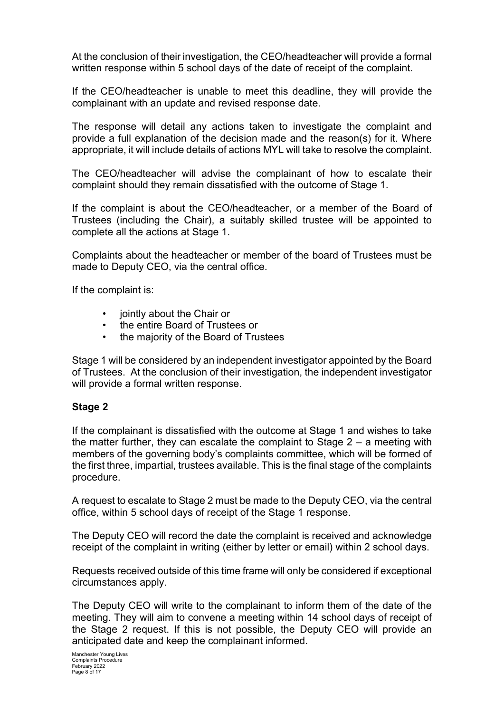At the conclusion of their investigation, the CEO/headteacher will provide a formal written response within 5 school days of the date of receipt of the complaint.

If the CEO/headteacher is unable to meet this deadline, they will provide the complainant with an update and revised response date.

The response will detail any actions taken to investigate the complaint and provide a full explanation of the decision made and the reason(s) for it. Where appropriate, it will include details of actions MYL will take to resolve the complaint.

The CEO/headteacher will advise the complainant of how to escalate their complaint should they remain dissatisfied with the outcome of Stage 1.

If the complaint is about the CEO/headteacher, or a member of the Board of Trustees (including the Chair), a suitably skilled trustee will be appointed to complete all the actions at Stage 1.

Complaints about the headteacher or member of the board of Trustees must be made to Deputy CEO, via the central office.

If the complaint is:

- **jointly about the Chair or**
- the entire Board of Trustees or
- the majority of the Board of Trustees

Stage 1 will be considered by an independent investigator appointed by the Board of Trustees. At the conclusion of their investigation, the independent investigator will provide a formal written response.

### **Stage 2**

If the complainant is dissatisfied with the outcome at Stage 1 and wishes to take the matter further, they can escalate the complaint to Stage 2 – a meeting with members of the governing body's complaints committee, which will be formed of the first three, impartial, trustees available. This is the final stage of the complaints procedure.

A request to escalate to Stage 2 must be made to the Deputy CEO, via the central office, within 5 school days of receipt of the Stage 1 response.

The Deputy CEO will record the date the complaint is received and acknowledge receipt of the complaint in writing (either by letter or email) within 2 school days.

Requests received outside of this time frame will only be considered if exceptional circumstances apply.

The Deputy CEO will write to the complainant to inform them of the date of the meeting. They will aim to convene a meeting within 14 school days of receipt of the Stage 2 request. If this is not possible, the Deputy CEO will provide an anticipated date and keep the complainant informed.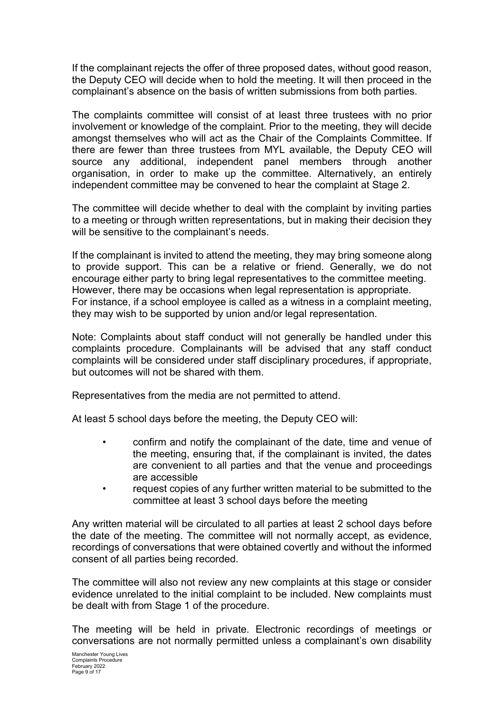If the complainant rejects the offer of three proposed dates, without good reason, the Deputy CEO will decide when to hold the meeting. It will then proceed in the complainant's absence on the basis of written submissions from both parties.

The complaints committee will consist of at least three trustees with no prior involvement or knowledge of the complaint. Prior to the meeting, they will decide amongst themselves who will act as the Chair of the Complaints Committee. If there are fewer than three trustees from MYL available, the Deputy CEO will source any additional, independent panel members through another organisation, in order to make up the committee. Alternatively, an entirely independent committee may be convened to hear the complaint at Stage 2.

The committee will decide whether to deal with the complaint by inviting parties to a meeting or through written representations, but in making their decision they will be sensitive to the complainant's needs.

If the complainant is invited to attend the meeting, they may bring someone along to provide support. This can be a relative or friend. Generally, we do not encourage either party to bring legal representatives to the committee meeting. However, there may be occasions when legal representation is appropriate. For instance, if a school employee is called as a witness in a complaint meeting, they may wish to be supported by union and/or legal representation.

Note: Complaints about staff conduct will not generally be handled under this complaints procedure. Complainants will be advised that any staff conduct complaints will be considered under staff disciplinary procedures, if appropriate, but outcomes will not be shared with them.

Representatives from the media are not permitted to attend.

At least 5 school days before the meeting, the Deputy CEO will:

- confirm and notify the complainant of the date, time and venue of the meeting, ensuring that, if the complainant is invited, the dates are convenient to all parties and that the venue and proceedings are accessible
- request copies of any further written material to be submitted to the committee at least 3 school days before the meeting

Any written material will be circulated to all parties at least 2 school days before the date of the meeting. The committee will not normally accept, as evidence, recordings of conversations that were obtained covertly and without the informed consent of all parties being recorded.

The committee will also not review any new complaints at this stage or consider evidence unrelated to the initial complaint to be included. New complaints must be dealt with from Stage 1 of the procedure.

The meeting will be held in private. Electronic recordings of meetings or conversations are not normally permitted unless a complainant's own disability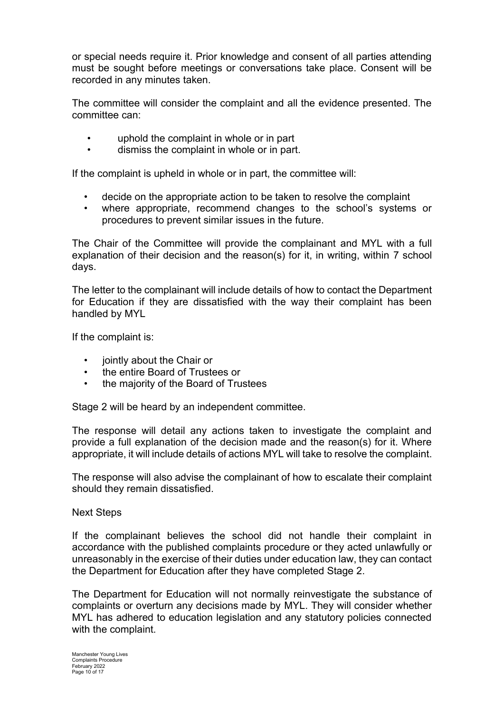or special needs require it. Prior knowledge and consent of all parties attending must be sought before meetings or conversations take place. Consent will be recorded in any minutes taken.

The committee will consider the complaint and all the evidence presented. The committee can:

- uphold the complaint in whole or in part
- dismiss the complaint in whole or in part.

If the complaint is upheld in whole or in part, the committee will:

- decide on the appropriate action to be taken to resolve the complaint
- where appropriate, recommend changes to the school's systems or procedures to prevent similar issues in the future.

The Chair of the Committee will provide the complainant and MYL with a full explanation of their decision and the reason(s) for it, in writing, within 7 school days.

The letter to the complainant will include details of how to contact the Department for Education if they are dissatisfied with the way their complaint has been handled by MYL

If the complaint is:

- jointly about the Chair or
- the entire Board of Trustees or
- the majority of the Board of Trustees

Stage 2 will be heard by an independent committee.

The response will detail any actions taken to investigate the complaint and provide a full explanation of the decision made and the reason(s) for it. Where appropriate, it will include details of actions MYL will take to resolve the complaint.

The response will also advise the complainant of how to escalate their complaint should they remain dissatisfied.

Next Steps

If the complainant believes the school did not handle their complaint in accordance with the published complaints procedure or they acted unlawfully or unreasonably in the exercise of their duties under education law, they can contact the Department for Education after they have completed Stage 2.

The Department for Education will not normally reinvestigate the substance of complaints or overturn any decisions made by MYL. They will consider whether MYL has adhered to education legislation and any statutory policies connected with the complaint.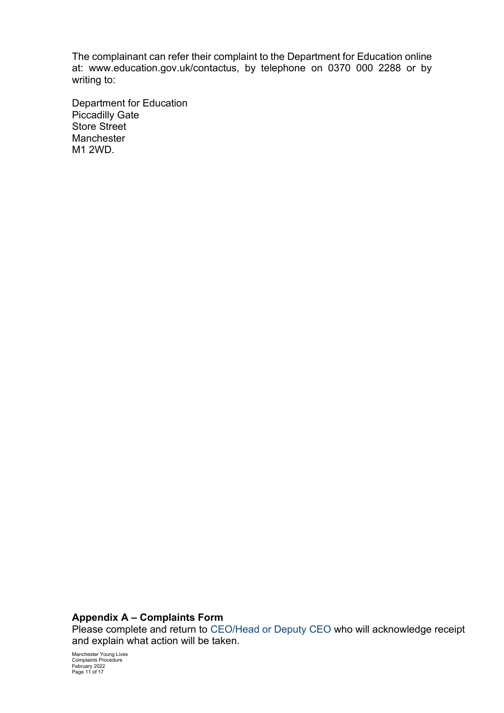The complainant can refer their complaint to the Department for Education online at: www.education.gov.uk/contactus, by telephone on 0370 000 2288 or by writing to:

Department for Education Piccadilly Gate Store Street **Manchester** M1 2WD.

# **Appendix A – Complaints Form**

Please complete and return to CEO/Head or Deputy CEO who will acknowledge receipt and explain what action will be taken.

Manchester Young Lives Complaints Procedure February 2022 Page 11 of 17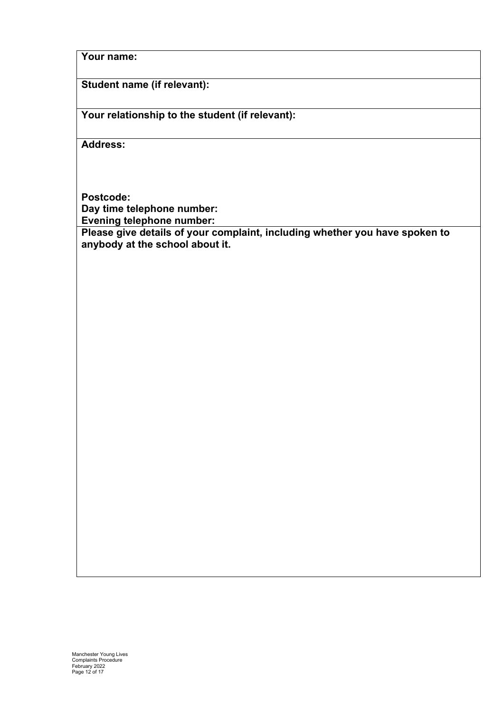### **Your name:**

# **Student name (if relevant):**

**Your relationship to the student (if relevant):**

**Address:** 

**Postcode: Day time telephone number: Evening telephone number:**

**Please give details of your complaint, including whether you have spoken to anybody at the school about it.**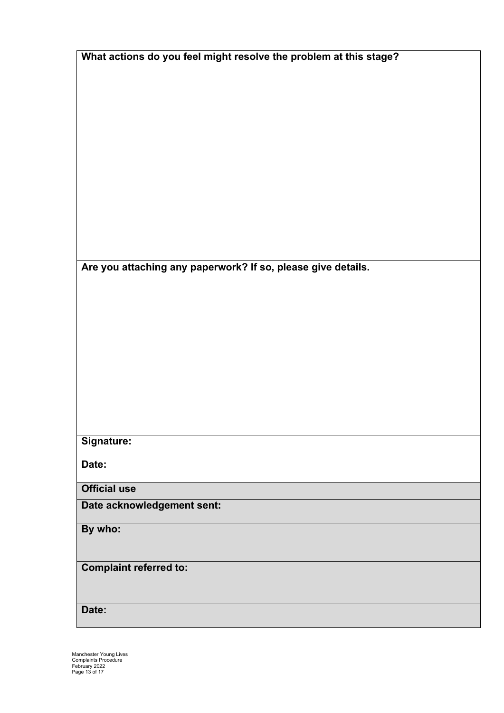| What actions do you feel might resolve the problem at this stage? |
|-------------------------------------------------------------------|
|                                                                   |
|                                                                   |
|                                                                   |
|                                                                   |
|                                                                   |
|                                                                   |
|                                                                   |
|                                                                   |
|                                                                   |
|                                                                   |
|                                                                   |
|                                                                   |
|                                                                   |
|                                                                   |
|                                                                   |
|                                                                   |
|                                                                   |
|                                                                   |
| Are you attaching any paperwork? If so, please give details.      |
|                                                                   |
|                                                                   |
|                                                                   |
|                                                                   |
|                                                                   |
|                                                                   |
|                                                                   |
|                                                                   |
|                                                                   |
|                                                                   |
|                                                                   |
|                                                                   |
|                                                                   |
|                                                                   |
| Signature:                                                        |
|                                                                   |
|                                                                   |
| Date:                                                             |
|                                                                   |
| <b>Official use</b>                                               |
| Date acknowledgement sent:                                        |
|                                                                   |
| By who:                                                           |
|                                                                   |
|                                                                   |
|                                                                   |
| <b>Complaint referred to:</b>                                     |
|                                                                   |
|                                                                   |
|                                                                   |
| Date:                                                             |
|                                                                   |

Manchester Young Lives Complaints Procedure February 2022 Page 13 of 17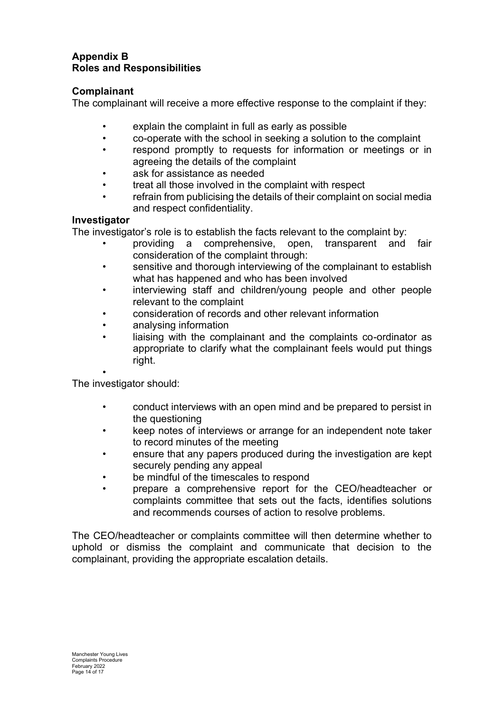#### **Appendix B Roles and Responsibilities**

# **Complainant**

The complainant will receive a more effective response to the complaint if they:

- explain the complaint in full as early as possible
- co-operate with the school in seeking a solution to the complaint
- respond promptly to requests for information or meetings or in agreeing the details of the complaint
- ask for assistance as needed
- treat all those involved in the complaint with respect
- refrain from publicising the details of their complaint on social media and respect confidentiality.

### **Investigator**

The investigator's role is to establish the facts relevant to the complaint by:

- providing a comprehensive, open, transparent and fair consideration of the complaint through:
- sensitive and thorough interviewing of the complainant to establish what has happened and who has been involved
- interviewing staff and children/young people and other people relevant to the complaint
- consideration of records and other relevant information
- analysing information
- liaising with the complainant and the complaints co-ordinator as appropriate to clarify what the complainant feels would put things right.

• The investigator should:

- conduct interviews with an open mind and be prepared to persist in the questioning
- keep notes of interviews or arrange for an independent note taker to record minutes of the meeting
- ensure that any papers produced during the investigation are kept securely pending any appeal
- be mindful of the timescales to respond
- prepare a comprehensive report for the CEO/headteacher or complaints committee that sets out the facts, identifies solutions and recommends courses of action to resolve problems.

The CEO/headteacher or complaints committee will then determine whether to uphold or dismiss the complaint and communicate that decision to the complainant, providing the appropriate escalation details.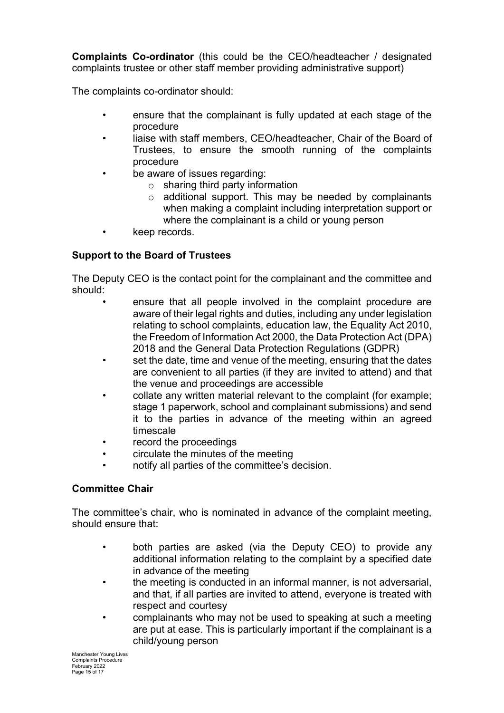**Complaints Co-ordinator** (this could be the CEO/headteacher / designated complaints trustee or other staff member providing administrative support)

The complaints co-ordinator should:

- ensure that the complainant is fully updated at each stage of the procedure
- liaise with staff members, CEO/headteacher, Chair of the Board of Trustees, to ensure the smooth running of the complaints procedure
- be aware of issues regarding:
	- $\circ$  sharing third party information
	- o additional support. This may be needed by complainants when making a complaint including interpretation support or where the complainant is a child or young person
- keep records.

# **Support to the Board of Trustees**

The Deputy CEO is the contact point for the complainant and the committee and should:

- ensure that all people involved in the complaint procedure are aware of their legal rights and duties, including any under legislation relating to school complaints, education law, the Equality Act 2010, the Freedom of Information Act 2000, the Data Protection Act (DPA) 2018 and the General Data Protection Regulations (GDPR)
- set the date, time and venue of the meeting, ensuring that the dates are convenient to all parties (if they are invited to attend) and that the venue and proceedings are accessible
- collate any written material relevant to the complaint (for example; stage 1 paperwork, school and complainant submissions) and send it to the parties in advance of the meeting within an agreed timescale
- record the proceedings
- circulate the minutes of the meeting
- notify all parties of the committee's decision.

# **Committee Chair**

The committee's chair, who is nominated in advance of the complaint meeting, should ensure that:

- both parties are asked (via the Deputy CEO) to provide any additional information relating to the complaint by a specified date in advance of the meeting
- the meeting is conducted in an informal manner, is not adversarial, and that, if all parties are invited to attend, everyone is treated with respect and courtesy
- complainants who may not be used to speaking at such a meeting are put at ease. This is particularly important if the complainant is a child/young person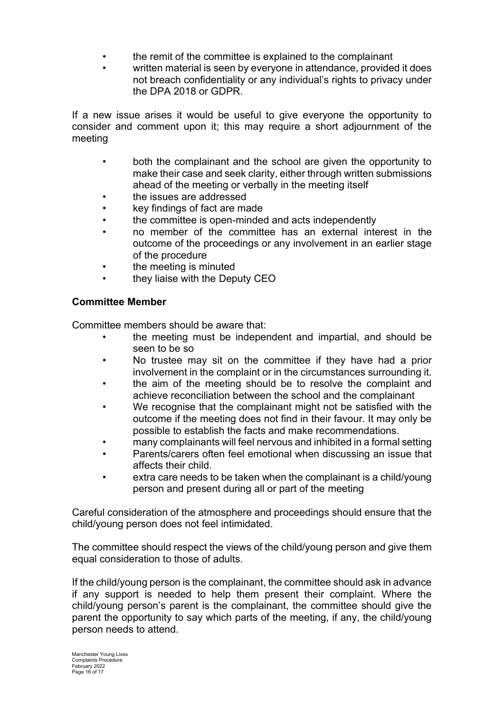- the remit of the committee is explained to the complainant
- written material is seen by everyone in attendance, provided it does not breach confidentiality or any individual's rights to privacy under the DPA 2018 or GDPR.

If a new issue arises it would be useful to give everyone the opportunity to consider and comment upon it; this may require a short adjournment of the meeting

- both the complainant and the school are given the opportunity to make their case and seek clarity, either through written submissions ahead of the meeting or verbally in the meeting itself
- the issues are addressed
- key findings of fact are made
- the committee is open-minded and acts independently
- no member of the committee has an external interest in the outcome of the proceedings or any involvement in an earlier stage of the procedure
- the meeting is minuted
- they liaise with the Deputy CEO

### **Committee Member**

Committee members should be aware that:

- the meeting must be independent and impartial, and should be seen to be so
- No trustee may sit on the committee if they have had a prior involvement in the complaint or in the circumstances surrounding it.
- the aim of the meeting should be to resolve the complaint and achieve reconciliation between the school and the complainant
- We recognise that the complainant might not be satisfied with the outcome if the meeting does not find in their favour. It may only be possible to establish the facts and make recommendations.
- many complainants will feel nervous and inhibited in a formal setting
- Parents/carers often feel emotional when discussing an issue that affects their child.
- extra care needs to be taken when the complainant is a child/young person and present during all or part of the meeting

Careful consideration of the atmosphere and proceedings should ensure that the child/young person does not feel intimidated.

The committee should respect the views of the child/young person and give them equal consideration to those of adults.

If the child/young person is the complainant, the committee should ask in advance if any support is needed to help them present their complaint. Where the child/young person's parent is the complainant, the committee should give the parent the opportunity to say which parts of the meeting, if any, the child/young person needs to attend.